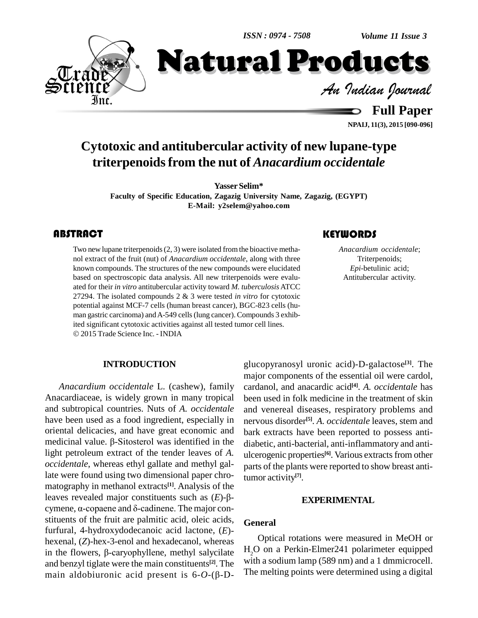*ISSN : 0974 - 7508*

*Volume 11 Issue 3*



*Volume 11 Issue 3*<br>**CLUCLS**<br>*Indian Journal* 

**Full Paper NPAIJ, 11(3), 2015 [090-096]**

## **Cytotoxic and antitubercular activity of new lupane-type triterpenoidsfrom the nut of** *Anacardium occidentale*

**Yasser Selim\***

**Faculty** of Specific Education, Zagazig University Name, Zagazig, (EGYPT) **E-Mail: [y2selem@yahoo.com](mailto:y2selem@yahoo.com)**

Two new lupane triterpenoids (2, 3) were isolated from the bioactive metha-<br>nol extract of the fruit (nut) of *Anacardium occidentale*, along with three Triterpenoids;<br>known compounds. The structures of the new compounds w Two new lupane triterpenoids(2, 3) were isolated from the bioactive metha nol extract of the fruit (nut) of *Anacardium occidentale*, along with three known compounds. The structures of the new compounds were elucidated based on spectroscopic data analysis. All new triterpenoids were evalu ated for their *in vitro* antitubercular activity toward *M. tuberculosis* ATCC 27294. The isolated compounds 2 & 3 were tested *in vitro* for cytotoxic potential against MCF-7 cells (human breast cancer), BGC-823 cells (hu man gastric carcinoma) and A-549 cells (lung cancer). Compounds 3 exhib-<br>ited significant cytotoxic activities against all tested tumor cell lines. 2015 Trade Science Inc. - INDIA

#### **INTRODUCTION**

*Anacardium occidentale* L. (cashew), family Anacardiaceae, is widely grown in many tropical and subtropical countries. Nuts of *A. occidentale* have been used as a food ingredient, especially in oriental delicacies, and have great economic and bark e have been used as a food ingredient, especially in nervo<br>oriental delicacies, and have great economic and bark  $\theta$ <br>medicinal value.  $\beta$ -Sitosterol was identified in the diaber light petroleum extract of the tender leaves of *A. occidentale*, whereas ethyl gallate and methyl gallate were found using two dimensional paper chro matography in methanol extracts **[1]**. Analysis of the late were found using two dimensional paper chro-<br>matography in methanol extracts<sup>[1]</sup>. Analysis of the<br>leaves revealed major constituents such as  $(E)-\beta$ matography in methanol extracts<sup>[1]</sup>. Analysis of the<br>leaves revealed major constituents such as  $(E)-\beta-$ <br>cymene,  $\alpha$ -copaene and  $\delta$ -cadinene. The major constituents of the fruit are palmitic acid, oleic acids, furfural, 4-hydroxydodecanoic acid lactone, (*E*) hexenal, (*Z*)-hex-3-enol and hexadecanol, whereas in the flowers,  $\beta$ -caryophyllene, methyl salycilate and benzyl tiglate were the main constituents **[2]**. The in the flowers,  $\beta$ -caryophyllene, methyl salycilate<br>and benzyl tiglate were the main constituents<sup>[2]</sup>. The<br>main aldobiuronic acid present is  $6-\theta$ -( $\beta$ -D-

### glucopyranosyl uronic acid)-D-galactose **[3]**. The major components of the essential oil were cardol, cardanol, and anacardic acid **[4]**. *A. occidentale* has been used in folk medicine in the treatment of skin and venereal diseases, respiratory problems and nervous disorder **[5]**. *A. occidentale* leaves, stem and bark extracts have been reported to possess anti diabetic, anti-bacterial, anti-inflammatory and anti ulcerogenic properties **[6]**. Various extractsfrom other parts of the plants were reported to show breast antitumor activity **[7]**.

#### **EXPERIMENTAL**

#### **General**

Optical rotations were measured in MeOH or H<sub>2</sub>O on a Perkin-Elmer241 polarimeter equipped with a sodium lamp (589 nm) and a 1 dmmicrocell. The melting points were determined using a digital

*Anacardium occidentale*; Triterpenoids; *Epi*-betulinic acid; Antitubercular activity.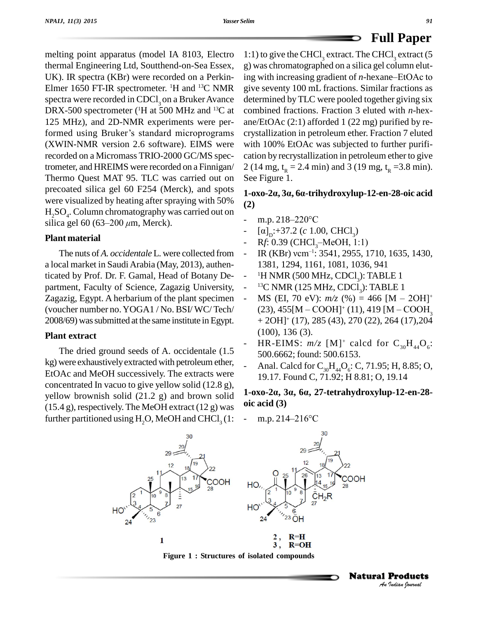melting point apparatus (model IA 8103, Electro thermal Engineering Ltd, Soutthend-on-Sea Essex, UK). IR spectra (KBr) were recorded on a Perkin- Elmer 1650 FT-IR spectrometer. <sup>1</sup>H and <sup>13</sup>C NMR spectra were recorded in CDCl<sub>2</sub> on a Bruker Avance DRX-500 spectrometer (<sup>1</sup>H at 500 MHz and <sup>13</sup>C at com<br>125 MHz), and 2D-NMR experiments were per-<br>formed using Bruker's standard microprograms cryst 125 MHz), and 2D-NMR experiments were per-(XWIN-NMR version 2.6 software). EIMS were recorded on a Micromass TRIO-2000 GC/MS spectrometer, and HREIMS were recorded on a Finnigan/ Thermo Quest MAT 95. TLC was carried out on See Figure 1. precoated silica gel 60 F254 (Merck), and spots were visualized by heating after spraying with 50%  $H_2SO_4$ . Column chromatography was carried out on were visualized by heating after sprayir<br>H<sub>2</sub>SO<sub>4</sub>. Column chromatography was ca<br>silica gel 60 (63–200 μm, Merck).

#### **Plant material**

The nuts of *A. occidentale* L. were collected from a local market in SaudiArabia (May, 2013), authenticated by Prof. Dr. F. Gamal, Head of Botany De partment, Faculty of Science, Zagazig University, Zagazig, Egypt. A herbarium of the plant specimen (voucher number no.YOGA1 / No. BSI/ WC/ Tech/ 2008/69) was submitted at the same institute in Egypt.

#### **Plant extract**

The dried ground seeds of A. occidentale (1.5 kg) were exhaustivelyextracted with petroleum ether, EtOAc and MeOH successively. The extracts were concentrated In vacuo to give yellow solid (12.8 g), yellow brownish solid  $(21.2 g)$  and brown solid  $(15.4 \text{ g})$ , respectively. The MeOH extract  $(12 \text{ g})$  was further partitioned using  $H<sub>2</sub>O$ , MeOH and CHCl<sub>3</sub> (1:

<sup>13</sup>C NMR give seventy 100 mL fractions. Similar fractions as <sup>13</sup>C at combined fractions. Fraction 3 eluted with *n*-hex- 1:1) to give the CHCl<sub>3</sub> extract. The CHCl<sub>3</sub> extract (5 g) was chromatographed on a silica gel column eluting with increasing gradient of *n*-hexane–EtOAc to determined byTLC were pooled together giving six ane/EtOAc (2:1) afforded 1 (22 mg) purified by re crystallization in petroleum ether. Fraction 7 eluted with 100% EtOAc was subjected to further purification by recrystallization in petroleum ether to give 2 (14 mg,  $t_R = 2.4$  min) and 3 (19 mg,  $t_R = 3.8$  min). **1-oxo-2·, <sup>3</sup>·, <sup>6</sup>·-trihydroxylup-12-en-28-oic acid**

**(2)** 1-0x0-2a, 3a, 6a-trinyaroxyiup $(2)$  m.p. 218–220°C

- 
- (2)<br>- m.p. 218–220°C<br>- [a]<sub>D</sub>:+37.2 (*c* 1.00, CHCl<sub>3</sub>)
- m.p. 218–220°C<br>- [a]<sub>D</sub>:+37.2 (c 1.00, CHCl<sub>3</sub>)<br>- R*f*: 0.39 (CHCl<sub>3</sub>–MeOH, 1:1)
- [a]<sub>D</sub>:+37.2 (c 1.00, C<br>- Rf: 0.39 (CHCl<sub>3</sub>–Me<br>- IR (KBr) vcm<sup>-1</sup>: 354 IR (KBr) vcm<sup>-1</sup>: 3541, 2955, 1710, 1635, 1430, 1381, 1294, 1161, 1081, 1036, 941
- <sup>1</sup>H NMR (500 MHz, CDCl<sub>3</sub>): TABLE 1
- 
- <sup>13</sup>C NMR (125 MHz, CDCl<sub>3</sub>): TABLE 1<br>- MS (EI, 70 eV):  $m/z$  (%) = 466 [M 2OH]<sup>+</sup><br>(23), 455[M COOH]<sup>+</sup> (11), 419 [M COOH<sub>3</sub> <sup>-</sup> <sup>1</sup>H NMR (500 MHz, CDCl<sub>3</sub>): TABLE 1<br><sup>-</sup> <sup>13</sup>C NMR (125 MHz, CDCl<sub>3</sub>): TABLE 1<br>- MS (EI, 70 eV): *m*/z (%) = 466 [M – 2OH]<sup>+</sup>  $(23)$ , 455 [M – COOH]<sup>+</sup> (11), 419 [M – COOH<sub>2</sub> + 2OH] <sup>+</sup> (17), 285 (43), 270 (22), 264 (17),204 (100), 136 (3).
- HR-EIMS:  $m/z$  [M]<sup>+</sup> calcd for  $C_{30}H_{44}O_6$ : 500.6662; found: 500.6153.
- Anal. Calcd for  $C_{30}H_{44}O_6$ : C, 71.95; H, 8.85; O, 19.17. Found C, 71.92; H 8.81; O, 19.14 **1-1-P**<sub>44</sub>*C*<sub>30</sub>**·***C***<sub>30</sub><sup>1</sup><sub>44</sub>***C***<sub><sub>6</sub></sub><sup></sup><b>C**<sub>*f*</sub> / *I*<sub>5</sub>*z*<sub>1</sub>*z*<sub>1</sub>*z*<sub>1</sub>*z*<sub>1</sub>*z*<sub>1</sub>*z*<sub>1</sub>*z*<sub>1</sub>*z*<sub>1</sub>*z*<sub>1</sub>*z*<sub>1</sub>*z*<sub>1</sub>*z*<sub>1</sub>*z*<sub>1</sub>*z*<sub>1</sub>*z*<sub>1</sub>*z*<sub>1</sub>*z*<sub>1</sub>*z*<sub>1</sub>*z*<sub>1</sub>*z*<sub>1</sub>*z*<sub>1</sub>*z*<sub>1</sub>*z*<sub>1</sub>*z*<sub>1</sub>*z*<sub>1</sub>*z*<sub>1</sub>

# **oic acid (3)** 1-0x0-2a, 3a, 6a, 27-tetranyar<br>oic acid (3)<br>- m.p. 214–216°C





 *Indian Journal* Natural Products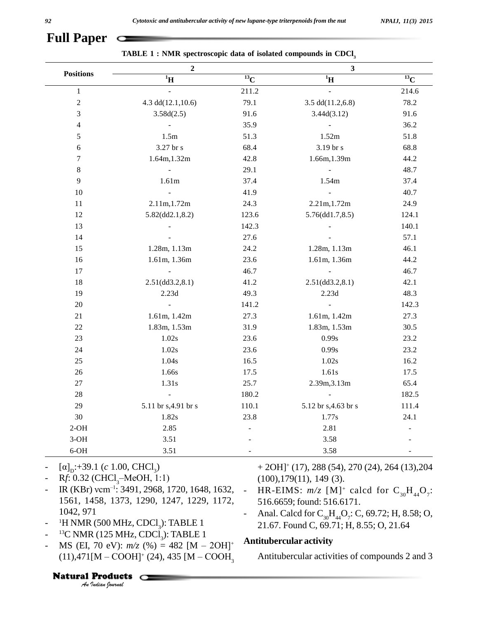| <b>Positions</b> | $\boldsymbol{2}$         |           | $\mathbf{3}$            |                     |
|------------------|--------------------------|-----------|-------------------------|---------------------|
|                  | $\rm ^1H$                | $^{13}$ C | $\boldsymbol{H}^1$      | $\overline{^{13}}C$ |
| $\mathbf{1}$     |                          | 211.2     |                         | 214.6               |
| $\sqrt{2}$       | 4.3 $dd(12.1, 10.6)$     | 79.1      | 3.5 $dd(11.2, 6.8)$     | 78.2                |
| $\sqrt{3}$       | 3.58d(2.5)               | 91.6      | 3.44d(3.12)             | 91.6                |
| $\overline{4}$   |                          | 35.9      |                         | 36.2                |
| $\sqrt{5}$       | 1.5m                     | 51.3      | 1.52m                   | 51.8                |
| $\boldsymbol{6}$ | 3.27 br s                | 68.4      | 3.19 br s               | 68.8                |
| $\boldsymbol{7}$ | 1.64m, 1.32m             | 42.8      | 1.66m, 1.39m            | 44.2                |
| $\,8\,$          | $\overline{\phantom{a}}$ | 29.1      |                         | 48.7                |
| $\overline{9}$   | 1.61m                    | 37.4      | 1.54m                   | 37.4                |
| 10               |                          | 41.9      |                         | 40.7                |
| 11               | 2.11m, 1.72m             | 24.3      | 2.21m, 1.72m            | 24.9                |
| 12               | $5.82$ (dd2.1,8.2)       | 123.6     | 5.76(dd1.7,8.5)         | 124.1               |
| 13               |                          | 142.3     |                         | 140.1               |
| 14               |                          | 27.6      |                         | 57.1                |
| 15               | 1.28m, 1.13m             | 24.2      | 1.28m, 1.13m            | 46.1                |
| 16               | 1.61m, 1.36m             | 23.6      | 1.61m, 1.36m            | 44.2                |
| 17               |                          | 46.7      |                         | 46.7                |
| 18               | $2.51$ (dd $3.2, 8.1$ )  | 41.2      | $2.51$ (dd $3.2, 8.1$ ) | 42.1                |
| 19               | 2.23d                    | 49.3      | 2.23d                   | 48.3                |
| 20               |                          | 141.2     |                         | 142.3               |
| 21               | 1.61m, 1.42m             | 27.3      | 1.61m, 1.42m            | 27.3                |
| $22\,$           | 1.83m, 1.53m             | 31.9      | 1.83m, 1.53m            | 30.5                |
| 23               | 1.02s                    | 23.6      | 0.99s                   | 23.2                |
| 24               | 1.02s                    | 23.6      | 0.99s                   | 23.2                |
| $25\,$           | 1.04s                    | 16.5      | 1.02s                   | 16.2                |
| 26               | 1.66s                    | 17.5      | 1.61s                   | 17.5                |
| $27\,$           | 1.31s                    | 25.7      | 2.39m, 3.13m            | 65.4                |
| $28\,$           |                          | 180.2     |                         | 182.5               |
| 29               | 5.11 br s, 4.91 br s     | 110.1     | 5.12 br s, 4.63 br s    | 111.4               |
| 30               | 1.82s                    | 23.8      | 1.77s                   | 24.1                |
| $2-OH$           | 2.85                     |           | 2.81                    |                     |
| $3-OH$           | 3.51                     |           | 3.58                    |                     |
| $6-OH$           | 3.51                     |           | 3.58                    |                     |

|  | TABLE 1: NMR spectroscopic data of isolated compounds in CDCl, |  |  |  |
|--|----------------------------------------------------------------|--|--|--|
|--|----------------------------------------------------------------|--|--|--|

- [a]<sub>D</sub>:+39.1 (c 1.00, C<br>- Rf: 0.32 (CHCl<sub>3</sub>–Me<br>- IR (KBr) vcm<sup>-1</sup>: 349
- <sup>6-OH</sup><br>
 [a]<sub>D</sub>:+39.1 (c 1.00, CHCl<sub>3</sub>)<br>
 R*f*: 0.32 (CHCl<sub>3</sub>–MeOH, 1:1)
- IR (KBr) vcm<sup>-1</sup>: 3491, 2968, 1720, 1648, 1632, -1561, 1458, 1373, 1290, 1247, 1229, 1172, 1042, 971
- <sup>1</sup>H NMR (500 MHz, CDCl<sub>3</sub>): TABLE 1
- <sup>13</sup>C NMR (125 MHz, CDCl<sub>3</sub>): TABLE 1
- *I* IF NMR (500 MHz, CDCl<sub>3</sub>): TABLE 1<br>
 <sup>13</sup>C NMR (125 MHz, CDCl<sub>3</sub>): TABLE 1<br>
 MS (EI, 70 eV):  $m/z$  (%) = 482 [M 2OH]<sup>+</sup><br>
(11),471[M COOH]<sup>+</sup> (24), 435 [M COOH<sub>3</sub><br> **Natural Products** <sup>13</sup>C NMR (125 MHz, CDCl<sub>3</sub><br>MS (EI, 70 eV): *m/z* (%) =<br>(11),471[M – COOH]<sup>+</sup> (24),  $(11), 471[M - COOH]$ <sup>+</sup> (24), 435 [M – COOH<sub>3</sub>

+ 2OH] <sup>+</sup> (17), 288 (54), 270 (24), 264 (13),204 (100),179(11), 149 (3).

- HR-EIMS:  $m/z$  [M]<sup>+</sup> calcd for  $C_{30}H_{44}O_7$ : 516.6659; found: 516.6171.
- Anal. Calcd for  $C_{30}H_{44}O_7$ : C, 69.72; H, 8.58; O, 21.67. Found C, 69.71; H, 8.55; O, 21.64

#### + **Antitubercular activity**

Antitubercular activities of compounds 2 and 3

#### Natural Products  $\subset$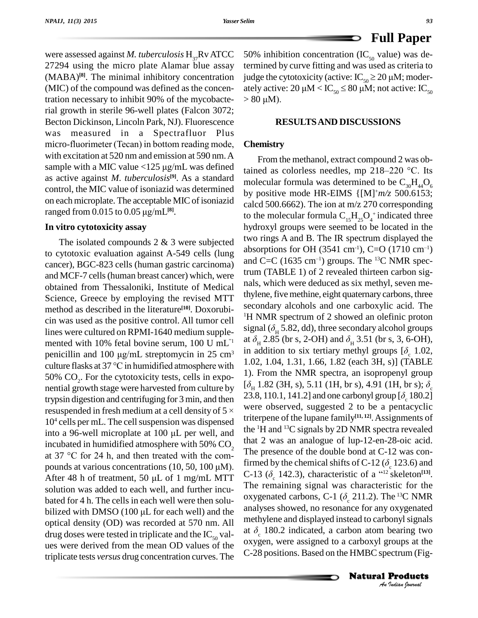were assessed against *M. tuberculosis*  $H_{37}Rv$  ATCC 27294 using the micro plate Alamar blue assay (MABA)<sup>[8]</sup>. The minimal inhibitory concentration judge t (MIC) of the compound was defined as the concentration necessary to inhibit 90% of the mycobacterial growth in sterile 96-well plates (Falcon 3072; Becton Dickinson, Lincoln Park, NJ). Fluorescence<br>was measured in a Spectrafluor Plus<br>micro-fluorimeter (Tecan) in bottom reading mode, **Chem** was measured in a Spectrafluor Plus with excitation at 520 nm and emission at 590 nm. A micro-fluorimeter (Tecan) in bottom reading mode,<br>with excitation at 520 nm and emission at 590 nm. A<br>sample with a MIC value <125  $\mu$ g/mL was defined as active against *M*. *tuberculosis* **[9]**. As a standard control, the MIC value of isoniazid was determined<br>on each microplate. The acceptable MIC of isoniazid<br>ranged from 0.015 to 0.05  $\mu g/mL^{[8]}$ . on each microplate. The acceptable MIC of isoniazid ranged from  $0.015$  to  $0.05 \mu g/mL<sup>[8]</sup>$ .

#### **In vitro cytotoxicity assay**

The isolated compounds 2 & 3 were subjected to cytotoxic evaluation against A-549 cells (lung cancer), BGC-823 cells (human gastric carcinoma) and MCF-7 cells(human breast cancer) which, were obtained from Thessaloniki, Institute of Medical Science, Greece by employing the revised MTT method as described in the literature<sup>[10]</sup>. Doxorubicin was used as the positive control. All tumor cell lines were cultured on RPMI-1640 medium supple-<br>mented with 10% fetal bovine serum, 100 U mL<sup>n</sup><sup>1</sup> at  $\delta_1$ <br>penicillin and 100 µg/mL streptomycin in 25 cm<sup>3</sup> mented with 10% fetal bovine serum, 100 U mL<sup>"1</sup> at  $\sigma_H \sim 2.5$ <br>penicillin and 100  $\mu$ g/mL streptomycin in 25 cm<sup>3</sup> in additive flasks at 37 °C in humidified atmosphere with 1.02, 1. 50% CO<sub>2</sub>. For the cytotoxicity tests, cells in expo- $\frac{1}{5}$ nential growth stage were harvested from culture by  $\frac{[O_H]^{1.82}}{23.8, 11}$ <br>trypsin digestion and centrifuging for 3 min, and then 23.8, 11<br>resuspended in fresh medium at a cell density of 5 × trypsin digestion and centrifuging for 3 min, and then 23.8, 110.1, 141.2] and one carbonyl group  $[\delta_{\rm c} 180.2]$  $10<sup>4</sup>$  cells per mL. The cell suspension was dispensed  $\frac{1}{2}$ resuspended in fresh medium at a cell density of  $5 \times 10^4$  cells per mL. The cell suspension was dispensed<br>into a 96-well microplate at 100  $\mu$ L per well, and incubated in humidified atmosphere with 50% CO<sub>2</sub> The prointo a 96-well microplate at 100  $\mu$ L per well, and the<br>incubated in humidified atmosphere with 50% CO<sub>2</sub> that<br>at 37 °C for 24 h, and then treated with the comincubated in humidified atmosphere with 50% CO<sub>2</sub> th<br>at 37 °C for 24 h, and then treated with the com-<br>pounds at various concentrations (10, 50, 100  $\mu$ M). at 37 °C for 24 h, and then treated with the compounds at various concentrations (10, 50, 100  $\mu$ M).<br>After 48 h of treatment, 50  $\mu$ L of 1 mg/mL MTT solution was added to each well, and further incu-<br>bated for 4 h. The cells in each well were then solu-<br>bilized with DMSO (100  $\mu$ L for each well) and the analys bated for 4 h. The cells in each well were then solu optical density (OD) was recorded at 570 nm. All drug doses were tested in triplicate and the  $IC_{50}$  values were derived from the mean OD values of the triplicate tests *versus* drug concentration curves. The

50% inhibition concentration (IC<sub>50</sub> value) was determined by curve fitting and was used as criteria to 50% inhibition concentration (IC<sub>50</sub> value) was determined by curve fitting and was used as criteria to judge the cytotoxicity (active:  $IC_{50} \ge 20 \mu M$ ; moderately active:  $20 \mu M < IC_{50} \le 80 \mu M$ ; not active:  $IC_{50}$ judge the cytot<br>ately active: 20<br>> 80 μM).

#### **RESULTSAND DISCUSSIONS**

#### **Chemistry**

*An*methylene and displayed instead to carbonylsignals *Indian Journal* at  $\delta_{\rm H}$  2.85 (br s, 2-OH) and  $\delta_{\rm H}$  3.51 (br s, 3, 6-OH), From the methanol, extract compound 2 was obtained as colorless needles, mp  $218-220$  °C. Its molecular formula was determined to be  $C_{30}H_{44}O_6$ by positive mode HR-EIMS {[M] <sup>+</sup>*m/z* 500.6153; calcd 500.6662). The ion at  $m/z$  270 corresponding to the molecular formula  $C_{15}H_{25}O_4^+$  indicated three hydroxyl groups were seemed to be located in the two rings A and B. The IR spectrum displayed the two rings A and B. The IR spectrum displayed the absorptions for OH  $(3541 \text{ cm}^{-1})$ , C=O  $(1710 \text{ cm}^{-1})$ absorptions for OH (3541 cm<sup>-1</sup>), C=O (17)<br>and C=C (1635 cm<sup>-1</sup>) groups. The <sup>13</sup>C NM and C=C  $(1635 \text{ cm}^{-1})$  groups. The <sup>13</sup>C NMR spectrum (TABLE 1) of 2 revealed thirteen carbon sig nals, which were deduced as six methyl, seven methylene, five methine, eight quaternary carbons, three secondary alcohols and one carboxylic acid. The <sup>1</sup>H NMR spectrum of 2 showed an olefinic proton secondary alcohols and one carboxylic acid. The  $H$  NMR spectrum of 2 showed an olefinic proton signal ( $\delta$ <sub>H</sub> 5.82, dd), three secondary alcohol groups <sup>1</sup>H NMR spectrum of 2 showed an olefinic proton signal ( $\delta_H$  5.82, dd), three secondary alcohol groups at  $\delta_H$  2.85 (br s, 2-OH) and  $\delta_H$  3.51 (br s, 3, 6-OH), in addition to six tertiary methyl groups  $[\delta_c 1.02, 1.02$ 1). From the NMR spectra, an isopropenyl group *M*H 1.82, 1.04, 1.31, 1.66, 1.82 (each 3H, s)] (TABLE 1). From the NMR spectra, an isopropenyl group [ $\delta$ <sub>π</sub> 1.82 (3H, s), 5.11 (1H, br s), 4.91 (1H, br s);  $\delta$ <sub>c</sub> were observed, suggested 2 to be a pentacyclic triterpene of the lupane family **[11, 12]**.Assignments of the <sup>1</sup>H and <sup>13</sup>C signals by 2D NMR spectra revealed that 2 was an analogue of lup-12-en-28-oic acid. The presence of the double bond at C-12 was confirmed by the chemical shifts of C-12 ( $\delta$ <sub>c</sub> 123.6) and The presence of the double bond at C-12 was confirmed by the chemical shifts of C-12 ( $\delta_c$  123.6) and C-13 ( $\delta_c$  142.3), characteristic of a "<sup>12</sup> skeleton<sup>[13]</sup>. The remaining signal was characteristic for the oxygenat The remaining signal was characteristic for the oxygenated carbons, C-1 ( $\delta_c$  211.2). The <sup>13</sup>C NMR analyses showed, no resonance for any oxygenated analyses showed, no resonance for any oxygenated<br>methylene and displayed instead to carbonyl signals<br>at  $\delta_c$  180.2 indicated, a carbon atom bearing two oxygen, were assigned to a carboxyl groups at the C-28 positions. Based on the HMBC spectrum (Fig-

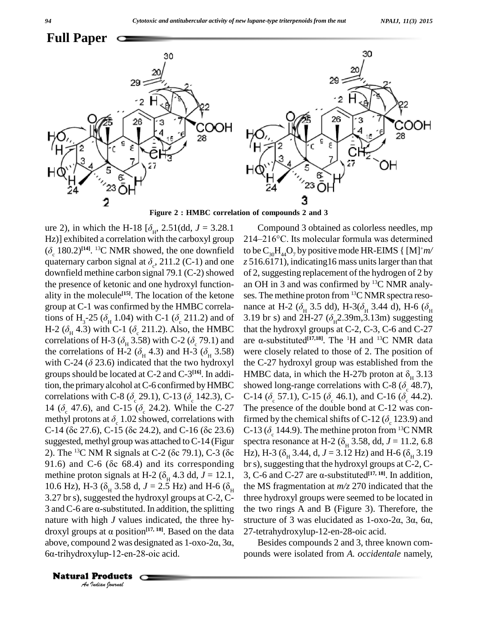

**Figure 2 : HMBC correlation of compounds 2 and 3**

nature with high *J* values indicated, the three hy- stru *I* value<br>*Indian D* value<br>*I* value *I*<br>*I* **Products**<br>*Indian Iournal* **Example 2 : HMBC correlation of co**<br>ure 2), in which the H-18  $[\delta_{\rm H}$ , 2.51(dd,  $J = 3.28.1$  Co<br>Hz)] exhibited a correlation with the carboxyl group 214–2<br>( $\delta_c$  180.2)<sup>[14]</sup>. <sup>13</sup>C NMR showed, the one downfield to be C Hz)] exhibited a correlation with the carboxyl group **[14]**. <sup>13</sup>C NMR showed, the one downfield Hz)] exhibited a correlation with th<br> $(\delta_c 180.2)^{[14]}$ . <sup>13</sup>C NMR showed, th<br>quaternary carbon signal at  $\delta_c$ , 211 quaternary carbon signal at  $\delta_{c}$ , 211.2 (C-1) and one downfield methine carbon signal  $79.1$  (C-2) showed the presence of ketonic and one hydroxyl function ality in the molecule<sup>[15]</sup>. The location of the ketone ses. T ality in the molecule<sup>[15]</sup>. The location of the ketone ses.<br>group at C-1 was confirmed by the HMBC correla-<br>tions of H<sub>3</sub>-25 ( $\delta$ <sub>H</sub> 1.04) with C-1 ( $\delta$ <sub>c</sub> 211.2) and of 3.19 group at C-1 was confirmed by the HMBC correla-<br>tions of H<sub>3</sub>-25 ( $\delta_H$  1.04) with C-1 ( $\delta_c$  211.2) and of 3.19 br s)<br>H-2 ( $\delta_H$  4.3) with C-1 ( $\delta_c$  211.2). Also, the HMBC that the hy tions of H<sub>3</sub>-25 ( $\delta_H$  1.04) with C-1 ( $\delta_c$  211.2) and of 3.19 bi<br>H-2 ( $\delta_H$  4.3) with C-1 ( $\delta_c$  211.2). Also, the HMBC that the<br>correlations of H-3 ( $\delta_H$  3.58) with C-2 ( $\delta_c$  79.1) and are α-s H-2 ( $\delta_H$  4.3) with C-1 ( $\delta_c$  211.2). Also, the HMBC that correlations of H-3 ( $\delta_H$  3.58) with C-2 ( $\delta_c$  79.1) and are the correlations of H-2 ( $\delta_H$  4.3) and H-3 ( $\delta_H$  3.58) wer correlations of H-3 ( $\delta_H$  3.58) with C-2 ( $\delta_c$  79.1) and are<br>the correlations of H-2 ( $\delta_H$  4.3) and H-3 ( $\delta_H$  3.58) we<br>with C-24 ( $\delta$  23.6) indicated that the two hydroxyl the groups should be located at C-2 and C-3 **[16]**. In addition, the primary alcohol at C-6 confirmed by HMBC showed long-range correlations with C-8 ( $\delta_{\rm c}$  48.7), groups should be located at C-2 and C-3<sup>[16]</sup>. In addi-<br>tion, the primary alcohol at C-6 confirmed by HMBC showed<br>correlations with C-8 ( $\delta_c$  29.1), C-13 ( $\delta_c$  142.3), C- C-14 (<br>14 ( $\delta_c$  47.6), and C-15 ( $\delta_c$  24.2). W correlations with C-8 ( $\delta_{\rm c}$  29.1), C-13 ( $\delta_{\rm c}$  142.3), C- C-14 (<br>14 ( $\delta_{\rm c}$  47.6), and C-15 ( $\delta_{\rm c}$  24.2). While the C-27 The pr<br>methyl protons at  $\delta_{\rm c}$  1.02 showed, correlations with firmed suggested, methyl group was attached toC-14 (Figur C-14 ( $\delta$ c 27.6), C-15 ( $\delta$ c 24.2), and C-16 ( $\delta$ c 23.6) C-13<br>suggested, methyl group was attached to C-14 (Figur spectr<br>2). The <sup>13</sup>C NM R signals at C-2 ( $\delta$ c 79.1), C-3 ( $\delta$ c Hz), I suggested, methyl group was attached to C-14 (Figur spectra<br>2). The <sup>13</sup>C NM R signals at C-2 ( $\delta$ c 79.1), C-3 ( $\delta$ c Hz), H<br>91.6) and C-6 ( $\delta$ c 68.4) and its corresponding br s), s 91.6) and C-6 ( $\delta$ c 68.4) and its corresponding methine proton signals at H-2 ( $\delta$ <sub>H</sub> 4.3 dd, *J* = 12.1, 10.6 Hz), H-3 ( $\delta$ <sub>H</sub> 3.58 d, *J* = 2.5 Hz) and H-6 ( $\delta$ <sub>H</sub> 3.27 brs), suggested the hydroxyl groups at C-2, C- thre 10.6 Hz), H-3 ( $\delta_H$  3.58 d,  $J = 2.5$  Hz) and H-6 ( $\delta_H$  the MS<br>3.27 br s), suggested the hydroxyl groups at C-2, C- three h<br>3 and C-6 are  $\alpha$ -substituted. In addition, the splitting the tw 3 and C-6 are  $\alpha$ -substituted. In addition, the splitting the tv nature with high J values indicated, the three hystruct droxyl groups at  $\alpha$  position<sup>[17, 18]</sup>. Based on the data 27-tet nature with high *J* values indicated, the three hy-<br>droxyl groups at  $\alpha$  position<sup>[17, 18]</sup>. Based on the data 27<br>above, compound 2 was designated as  $1-\alpha x_0-2\alpha$ , 3 $\alpha$ , droxyl groups at  $\alpha$  position<sup>[17, 18]</sup>. Based o<br>above, compound 2 was designated as 1-o<br>6 $\alpha$ -trihydroxylup-12-en-28-oic acid.

group at C-1 was confirmed by the HMBC correla- nance at H-2 ( $\delta_{\rm H}$  3.5 dd), H-3( $\delta_{\rm H}$  3.44 d), H-6 ( $\delta_{\rm H}$ 14 ( $\delta_c$  47.6), and C-15 ( $\delta_c$  24.2). While the C-27 The presence of the double bond at C-12 was conmethyl protons at  $\delta_c$  1.02 showed, correlations with firmed by the chemical shifts of C-12 ( $\delta_c$  123.9) and C-14 ( $\$  $214-216$ °C. Its molecular formula was determined to be  $\text{C}_{30}\text{H}_{44}\text{O}_7$  by positive mode HR-EIMS { [M]+ $m/$ *z* 516.6171), indicating16 mass unitslarger than that of 2,suggesting replacement of the hydrogen of 2 by an OH in 3 and was confirmed by <sup>13</sup>C NMR analy ses. The methine proton from <sup>13</sup>C NMR spectra resoan OH in 3 and was confirmed by <sup>13</sup>C NMR analyses. The methine proton from <sup>13</sup>C NMR spectra resonance at H-2 ( $\delta$ <sub>H</sub> 3.5 dd), H-3( $\delta$ <sub>H</sub> 3.44 d), H-6 ( $\delta$ <sub>H</sub> ses. The methine proton from <sup>13</sup>C NMR spectra reso-<br>nance at H-2 ( $\delta_{\rm H}$  3.5 dd), H-3( $\delta_{\rm H}$  3.44 d), H-6 ( $\delta_{\rm H}$ <br>3.19 br s) and 2H-27 ( $\delta_{\rm H}$ 2.39m,3.13m) suggesting that the hydroxyl groups at C-2, C-3, C-6 and C-27 3.19 br s) and 2H-27 ( $\delta_{\text{H}}$ 2<br>that the hydroxyl groups a<br>are  $\alpha$ -substituted<sup>[17,18]</sup>. The **[17,18]**. The <sup>1</sup>H and <sup>13</sup>C NMR data were closely related to those of 2. The position of the C-27 hydroxyl group was established from the were closely related to those of 2. The position of<br>the C-27 hydroxyl group was established from the<br>HMBC data, in which the H-27b proton at  $\delta_{\rm H}$  3.13 the C-27 hydroxyl group was established from the HMBC data, in which the H-27b proton at  $\delta_{\rm H}$  3.13 showed long-range correlations with C-8 ( $\delta_{\rm c}$  48.7), C-14 ( $\delta_{\rm c}$  57.1), C-15 ( $\delta_{\rm c}$  46.1), and C-16 ( $\delta$ C-14 ( $\delta_c$  57.1), C-15 ( $\delta_c$  46.1), and C-16 ( $\delta_c$  44.2). C-13 ( $\delta_c$  144.9). The methine proton from <sup>13</sup>C NMR firmed by the chemical shifts of C-12 ( $\delta_c$  123.9) and<br>C-13 ( $\delta_c$  144.9). The methine proton from <sup>13</sup>C NMR<br>spectra resonance at H-2 ( $\delta_H$  3.58, dd, *J* = 11.2, 6.8 C-13 ( $\delta_c$  144.9). The methine proton from <sup>13</sup>C NMR<br>spectra resonance at H-2 ( $\delta_H$  3.58, dd, *J* = 11.2, 6.8<br>Hz), H-3 ( $\delta_H$  3.44, d, *J* = 3.12 Hz) and H-6 ( $\delta_H$  3.19 br s), suggesting that the hydroxyl groups at  $C-2$ ,  $C-$ Hz), H-3 ( $\delta_{\rm H}$  3.44, d, J = 3.12 Hz) and H-6 ( $\delta_{\rm H}$  3.19 3, C-6 and C-27 are  $\alpha$ -substituted<sup>[17, 18]</sup>. In addition, the MS fragmentation at *m/z* 270 indicated that the three hydroxyl groups were seemed to be located in<br>the two rings A and B (Figure 3). Therefore, the<br>structure of 3 was elucidated as  $1-\alpha x - 2\alpha$ ,  $3\alpha$ ,  $6\alpha$ , the two rings A and B (Figure 3). Therefore, the 27-tetrahydroxylup-12-en-28-oic acid.

Compound 3 obtained as colorless needles, mp

Besides compounds 2 and 3, three known com pounds were isolated from *A. occidentale* namely,

Natural Products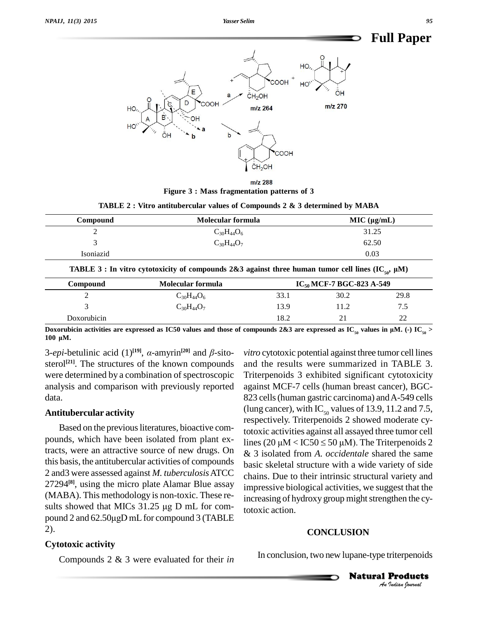

 $m/z$  288 **Figure 3 : Mass fragmentation patterns of 3**

| TABLE 2 : Vitro antitubercular values of Compounds 2 & 3 determined by MABA |  |  |
|-----------------------------------------------------------------------------|--|--|
|-----------------------------------------------------------------------------|--|--|

| Compound  | Molecular formula | MIC (µq/mL) |
|-----------|-------------------|-------------|
|           | $C_{30}H_{44}O_6$ | 31.25       |
|           | $C_{30}H_{44}O_7$ | 62.50       |
| Isoniazid |                   | 0.03        |

| <b>Compound</b> | Molecular formula |      | $IC_{50}$ MCF-7 BGC-823 A-549 |      |  |
|-----------------|-------------------|------|-------------------------------|------|--|
|                 | $C_{30}H_{44}O_6$ | 33.1 | 30.2                          | 29.8 |  |
|                 | $C_{30}H_{44}O_7$ | 13.9 | 11.2                          |      |  |
| Doxorubicin     |                   | 18.2 |                               |      |  |

Doxorubicin activities are expressed as IC50 values and<br>100  $\mu$ M.<br>3-*epi*-betulinic acid (1)<sup>[19]</sup>, *a*-amyrin<sup>[20]</sup> and *β*. values and those of comparison that  $[20]$  and  $\beta$ -sito- *vitra* <u>Doxorubicin</u><br>Doxorubicin<br>100 µM.

sterol<sup>[21]</sup>. The structures of the known compounds and were determined by a combination of spectroscopic analysis and comparison with previously reported data.

#### **Antitubercular activity**

pounds, which have been isolated from plant ex-<br>lines  $(20 \mu M < ICS0 \le 50 \mu M)$ . The Triterpenoids 2 tracts, were an attractive source of new drugs. On this basis, the antitubercular activities of compounds 2 and3 were assessed against *M. tuberculosis*ATCC 27294<sup>(8)</sup>, using the micro plate Alamar Blue assay<br>
(MABA). This methodology is non-toxic. These re-<br>
sults showed that MICs 31.25 µg D mL for com-(MABA). This methodology is non-toxic. These re-<br>sults showed that MICs  $31.25 \mu g D \text{ mL}$  for com-<br>pound 2 and 62.50 $\mu g D \text{ mL}$  for compound 3 (TABLE 2).

### **Cytotoxic activity**

Compounds 2 & 3 were evaluated for their *in*

respectively. Triterpenoids 2 showed moderate cy-<br>Based on the previous literatures, bioactive com-<br>totoxic activities against all assayed three tumor call *vitro* cytotoxic potential against three tumor cell lines and the results were summarized in TABLE 3. Triterpenoids 3 exhibited significant cytotoxicity against MCF-7 cells (human breast cancer), BGC- 823 cells (human gastric carcinoma) and A-549 cells (lung cancer), with IC<sub>50</sub> values of 13.9, 11.2 and 7.5, totoxic activities against all assayed three tumor cell respectively. Triterpenoids 2 showed moderate cy-<br>totoxic activities against all assayed three tumor cell<br>lines (20  $\mu$ M < IC50 ≤ 50  $\mu$ M). The Triterpenoids 2 & 3 isolated from *A. occidentale* shared the same basic skeletal structure with a wide variety of side chains. Due to their intrinsic structural variety and impressive biological activities, we suggest that the increasing of hydroxy group might strengthen the cytotoxic action.

#### **CONCLUSION**

In conclusion, two new lupane-type triterpenoids